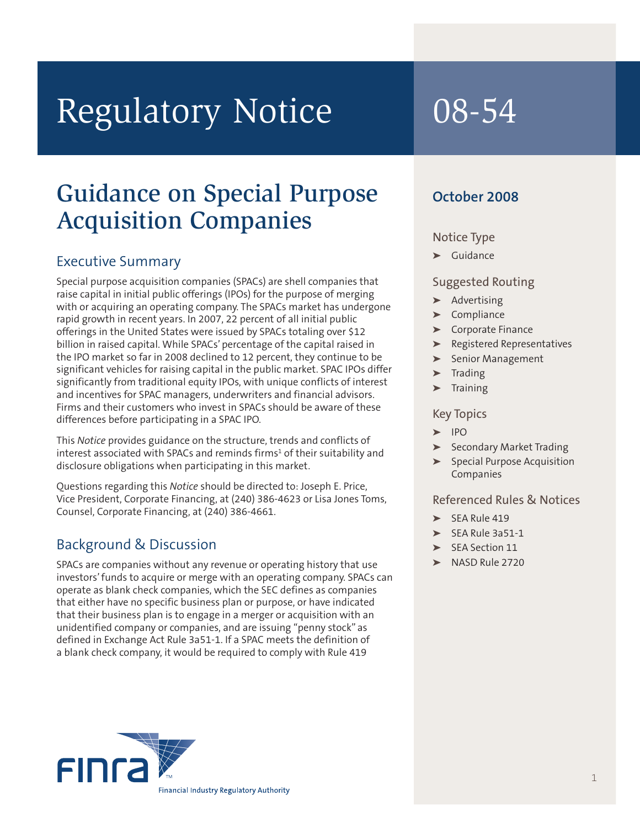# Regulatory Notice 08-54

## Guidance on Special Purpose Acquisition Companies

### Executive Summary

Special purpose acquisition companies (SPACs) are shell companies that raise capital in initial public offerings (IPOs) for the purpose of merging with or acquiring an operating company. The SPACs market has undergone rapid growth in recent years. In 2007, 22 percent of all initial public offerings in the United States were issued by SPACs totaling over \$12 billion in raised capital. While SPACs' percentage of the capital raised in the IPO market so far in 2008 declined to 12 percent, they continue to be significant vehicles for raising capital in the public market. SPAC IPOs differ significantly from traditional equity IPOs, with unique conflicts of interest and incentives for SPAC managers, underwriters and financial advisors. Firms and their customers who invest in SPACs should be aware of these differences before participating in a SPAC IPO.

This *Notice* provides guidance on the structure, trends and conflicts of interest associated with SPACs and reminds firms<sup>1</sup> of their suitability and disclosure obligations when participating in this market.

Questions regarding this *Notice* should be directed to: Joseph E. Price, Vice President, Corporate Financing, at (240) 386-4623 or Lisa Jones Toms, Counsel, Corporate Financing, at (240) 386-4661.

### Background & Discussion

SPACs are companies without any revenue or operating history that use investors'funds to acquire or merge with an operating company. SPACs can operate as blank check companies, which the SEC defines as companies that either have no specific business plan or purpose, or have indicated that their business plan is to engage in a merger or acquisition with an unidentified company or companies, and are issuing "penny stock" as defined in Exchange Act Rule 3a51-1. If a SPAC meets the definition of a blank check company, it would be required to comply with Rule 419

#### **October 2008**

#### Notice Type

**➤** Guidance

#### Suggested Routing

- **➤** Advertising
- **➤** Compliance
- **➤** Corporate Finance
- **➤** Registered Representatives
- **➤** Senior Management
- **➤** Trading
- **➤** Training

#### Key Topics

- **➤** IPO
- **➤** Secondary Market Trading
- **➤** Special Purpose Acquisition Companies

#### Referenced Rules & Notices

- **➤** SEA Rule 419
- **➤** SEA Rule 3a51-1
- **➤** SEA Section 11
- **➤** NASD Rule 2720

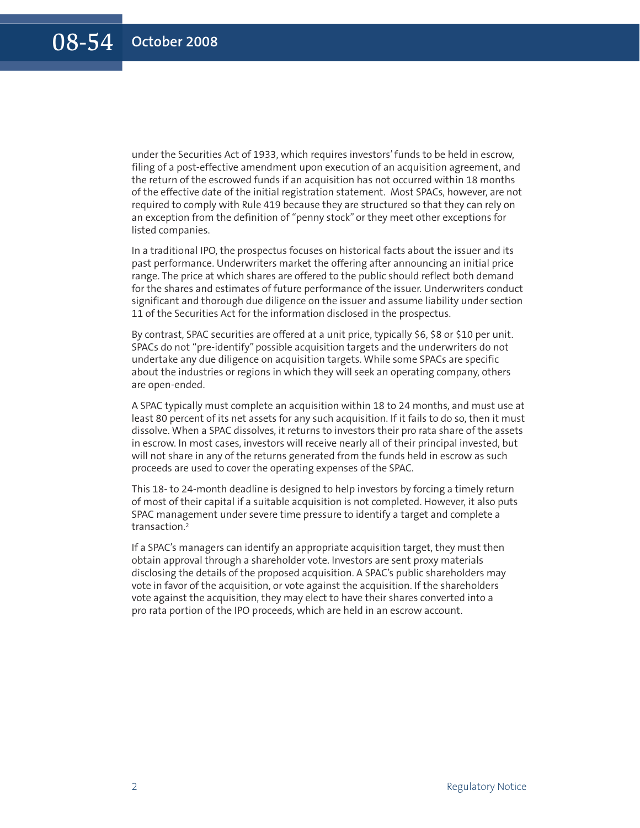under the Securities Act of 1933, which requires investors'funds to be held in escrow, filing of a post-effective amendment upon execution of an acquisition agreement, and the return of the escrowed funds if an acquisition has not occurred within 18 months of the effective date of the initial registration statement. Most SPACs, however, are not required to comply with Rule 419 because they are structured so that they can rely on an exception from the definition of "penny stock" or they meet other exceptions for listed companies.

In a traditional IPO, the prospectus focuses on historical facts about the issuer and its past performance. Underwriters market the offering after announcing an initial price range. The price at which shares are offered to the public should reflect both demand for the shares and estimates of future performance of the issuer. Underwriters conduct significant and thorough due diligence on the issuer and assume liability under section 11 of the Securities Act for the information disclosed in the prospectus.

By contrast, SPAC securities are offered at a unit price, typically \$6, \$8 or \$10 per unit. SPACs do not "pre-identify" possible acquisition targets and the underwriters do not undertake any due diligence on acquisition targets. While some SPACs are specific about the industries or regions in which they will seek an operating company, others are open-ended.

A SPAC typically must complete an acquisition within 18 to 24 months, and must use at least 80 percent of its net assets for any such acquisition. If it fails to do so, then it must dissolve. When a SPAC dissolves, it returns to investors their pro rata share of the assets in escrow. In most cases, investors will receive nearly all of their principal invested, but will not share in any of the returns generated from the funds held in escrow as such proceeds are used to cover the operating expenses of the SPAC.

This 18- to 24-month deadline is designed to help investors by forcing a timely return of most of their capital if a suitable acquisition is not completed. However, it also puts SPAC management under severe time pressure to identify a target and complete a transaction. 2

If a SPAC's managers can identify an appropriate acquisition target, they must then obtain approval through a shareholder vote. Investors are sent proxy materials disclosing the details of the proposed acquisition. A SPAC's public shareholders may vote in favor of the acquisition, or vote against the acquisition. If the shareholders vote against the acquisition, they may elect to have their shares converted into a pro rata portion of the IPO proceeds, which are held in an escrow account.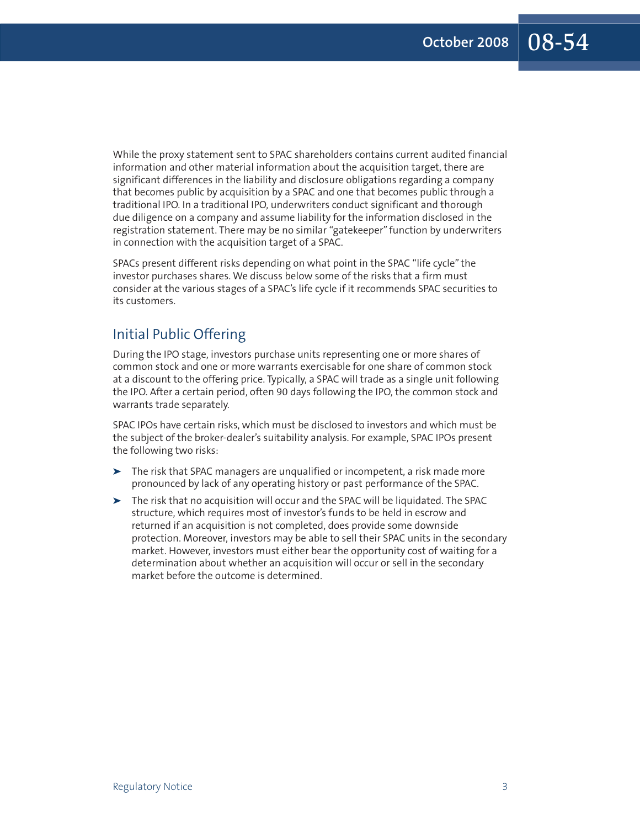While the proxy statement sent to SPAC shareholders contains current audited financial information and other material information about the acquisition target, there are significant differences in the liability and disclosure obligations regarding a company that becomes public by acquisition by a SPAC and one that becomes public through a traditional IPO. In a traditional IPO, underwriters conduct significant and thorough due diligence on a company and assume liability for the information disclosed in the registration statement. There may be no similar "gatekeeper" function by underwriters in connection with the acquisition target of a SPAC.

SPACs present different risks depending on what point in the SPAC "life cycle" the investor purchases shares. We discuss below some of the risks that a firm must consider at the various stages of a SPAC's life cycle if it recommends SPAC securities to its customers.

#### Initial Public Offering

During the IPO stage, investors purchase units representing one or more shares of common stock and one or more warrants exercisable for one share of common stock at a discount to the offering price. Typically, a SPAC will trade as a single unit following the IPO. After a certain period, often 90 days following the IPO, the common stock and warrants trade separately.

SPAC IPOs have certain risks, which must be disclosed to investors and which must be the subject of the broker-dealer's suitability analysis. For example, SPAC IPOs present the following two risks:

- **➤** The risk that SPAC managers are unqualified or incompetent, a risk made more pronounced by lack of any operating history or past performance of the SPAC.
- **➤** The risk that no acquisition will occur and the SPAC will be liquidated. The SPAC structure, which requires most of investor's funds to be held in escrow and returned if an acquisition is not completed, does provide some downside protection. Moreover, investors may be able to sell their SPAC units in the secondary market. However, investors must either bear the opportunity cost of waiting for a determination about whether an acquisition will occur or sell in the secondary market before the outcome is determined.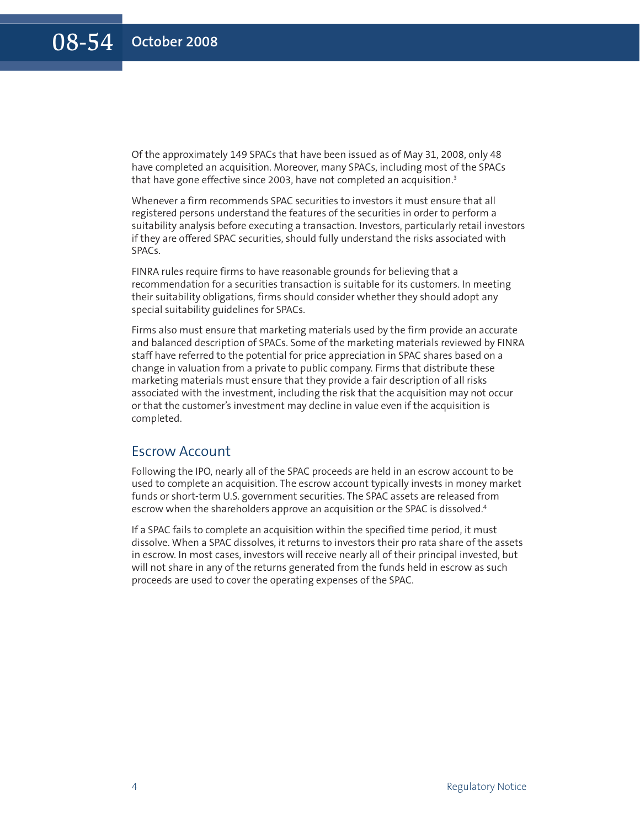Of the approximately 149 SPACs that have been issued as of May 31, 2008, only 48 have completed an acquisition. Moreover, many SPACs, including most of the SPACs that have gone effective since 2003, have not completed an acquisition. 3

Whenever a firm recommends SPAC securities to investors it must ensure that all registered persons understand the features of the securities in order to perform a suitability analysis before executing a transaction. Investors, particularly retail investors if they are offered SPAC securities, should fully understand the risks associated with SPACs.

FINRA rules require firms to have reasonable grounds for believing that a recommendation for a securities transaction is suitable for its customers. In meeting their suitability obligations, firms should consider whether they should adopt any special suitability guidelines for SPACs.

Firms also must ensure that marketing materials used by the firm provide an accurate and balanced description of SPACs. Some of the marketing materials reviewed by FINRA staff have referred to the potential for price appreciation in SPAC shares based on a change in valuation from a private to public company. Firms that distribute these marketing materials must ensure that they provide a fair description of all risks associated with the investment, including the risk that the acquisition may not occur or that the customer's investment may decline in value even if the acquisition is completed.

#### Escrow Account

Following the IPO, nearly all of the SPAC proceeds are held in an escrow account to be used to complete an acquisition. The escrow account typically invests in money market funds or short-term U.S. government securities. The SPAC assets are released from escrow when the shareholders approve an acquisition or the SPAC is dissolved. 4

If a SPAC fails to complete an acquisition within the specified time period, it must dissolve. When a SPAC dissolves, it returns to investors their pro rata share of the assets in escrow. In most cases, investors will receive nearly all of their principal invested, but will not share in any of the returns generated from the funds held in escrow as such proceeds are used to cover the operating expenses of the SPAC.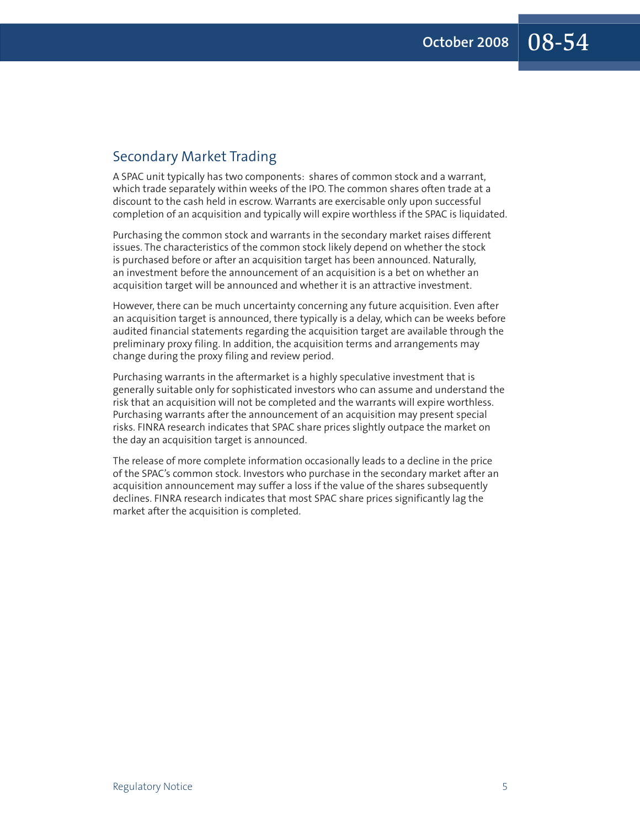#### Secondary Market Trading

A SPAC unit typically has two components: shares of common stock and a warrant, which trade separately within weeks of the IPO. The common shares often trade at a discount to the cash held in escrow. Warrants are exercisable only upon successful completion of an acquisition and typically will expire worthless if the SPAC is liquidated.

Purchasing the common stock and warrants in the secondary market raises different issues. The characteristics of the common stock likely depend on whether the stock is purchased before or after an acquisition target has been announced. Naturally, an investment before the announcement of an acquisition is a bet on whether an acquisition target will be announced and whether it is an attractive investment.

However, there can be much uncertainty concerning any future acquisition. Even after an acquisition target is announced, there typically is a delay, which can be weeks before audited financial statements regarding the acquisition target are available through the preliminary proxy filing. In addition, the acquisition terms and arrangements may change during the proxy filing and review period.

Purchasing warrants in the aftermarket is a highly speculative investment that is generally suitable only for sophisticated investors who can assume and understand the risk that an acquisition will not be completed and the warrants will expire worthless. Purchasing warrants after the announcement of an acquisition may present special risks. FINRA research indicates that SPAC share prices slightly outpace the market on the day an acquisition target is announced.

The release of more complete information occasionally leads to a decline in the price of the SPAC's common stock. Investors who purchase in the secondary market after an acquisition announcement may suffer a loss if the value of the shares subsequently declines. FINRA research indicates that most SPAC share prices significantly lag the market after the acquisition is completed.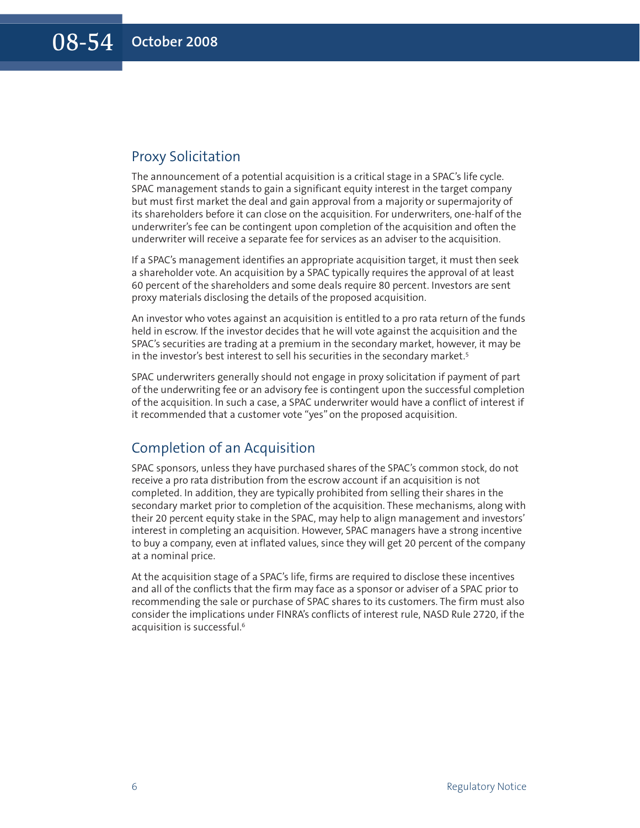#### Proxy Solicitation

The announcement of a potential acquisition is a critical stage in a SPAC's life cycle. SPAC management stands to gain a significant equity interest in the target company but must first market the deal and gain approval from a majority or supermajority of its shareholders before it can close on the acquisition. For underwriters, one-half of the underwriter's fee can be contingent upon completion of the acquisition and often the underwriter will receive a separate fee for services as an adviser to the acquisition.

If a SPAC's management identifies an appropriate acquisition target, it must then seek a shareholder vote. An acquisition by a SPAC typically requires the approval of at least 60 percent of the shareholders and some deals require 80 percent. Investors are sent proxy materials disclosing the details of the proposed acquisition.

An investor who votes against an acquisition is entitled to a pro rata return of the funds held in escrow. If the investor decides that he will vote against the acquisition and the SPAC's securities are trading at a premium in the secondary market, however, it may be in the investor's best interest to sell his securities in the secondary market. 5

SPAC underwriters generally should not engage in proxy solicitation if payment of part of the underwriting fee or an advisory fee is contingent upon the successful completion of the acquisition. In such a case, a SPAC underwriter would have a conflict of interest if it recommended that a customer vote "yes" on the proposed acquisition.

#### Completion of an Acquisition

SPAC sponsors, unless they have purchased shares of the SPAC's common stock, do not receive a pro rata distribution from the escrow account if an acquisition is not completed. In addition, they are typically prohibited from selling their shares in the secondary market prior to completion of the acquisition. These mechanisms, along with their 20 percent equity stake in the SPAC, may help to align management and investors' interest in completing an acquisition. However, SPAC managers have a strong incentive to buy a company, even at inflated values, since they will get 20 percent of the company at a nominal price.

At the acquisition stage of a SPAC's life, firms are required to disclose these incentives and all of the conflicts that the firm may face as a sponsor or adviser of a SPAC prior to recommending the sale or purchase of SPAC shares to its customers. The firm must also consider the implications under FINRA's conflicts of interest rule, NASD Rule 2720, if the acquisition is successful. 6